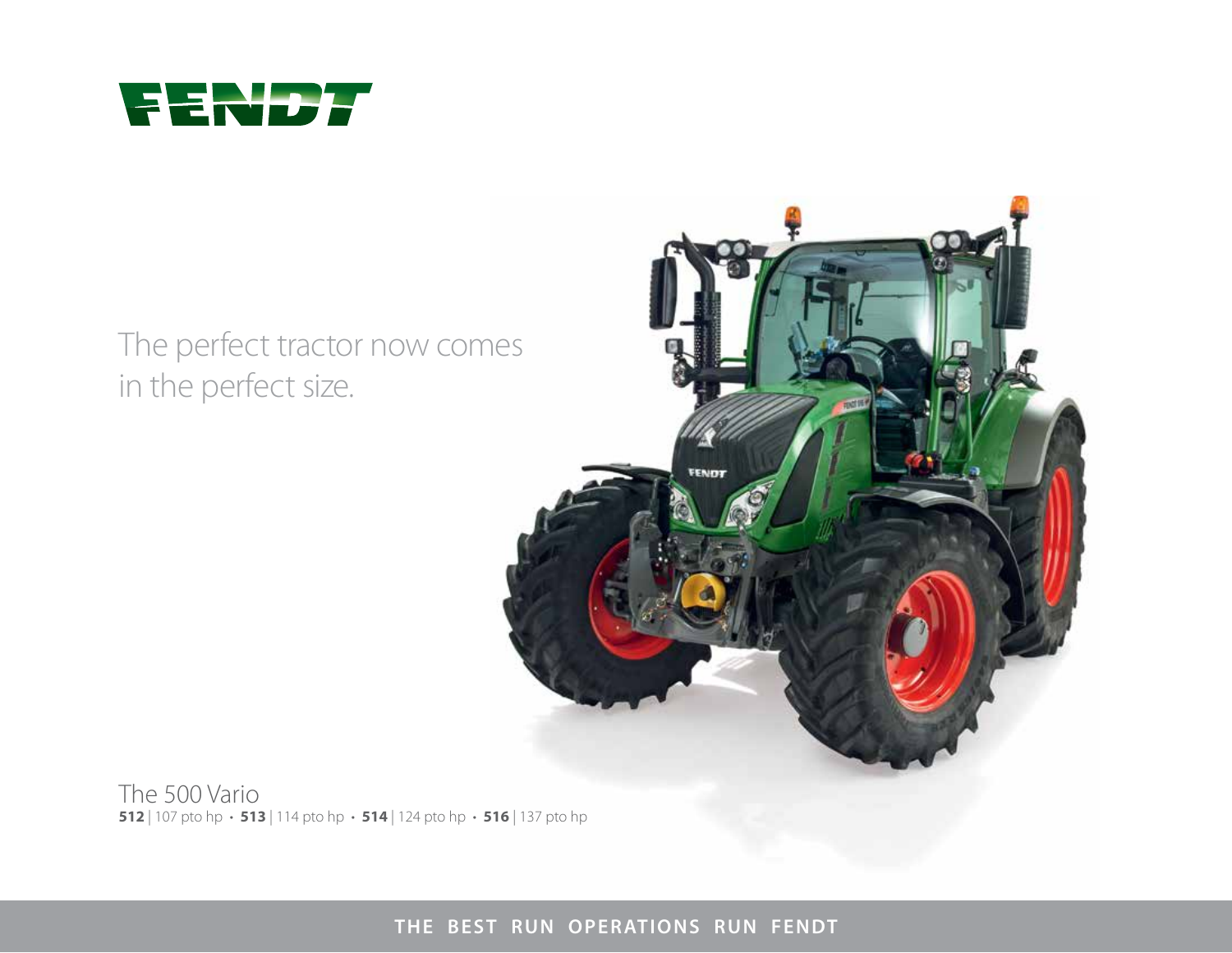

# The perfect tractor now comes in the perfect size.



The 500 Vario **512** | 107 pto hp • **513** | 114 pto hp • **514** | 124 pto hp • **516** | 137 pto hp

**THE BEST RUN OPERATIONS RUN FENDT**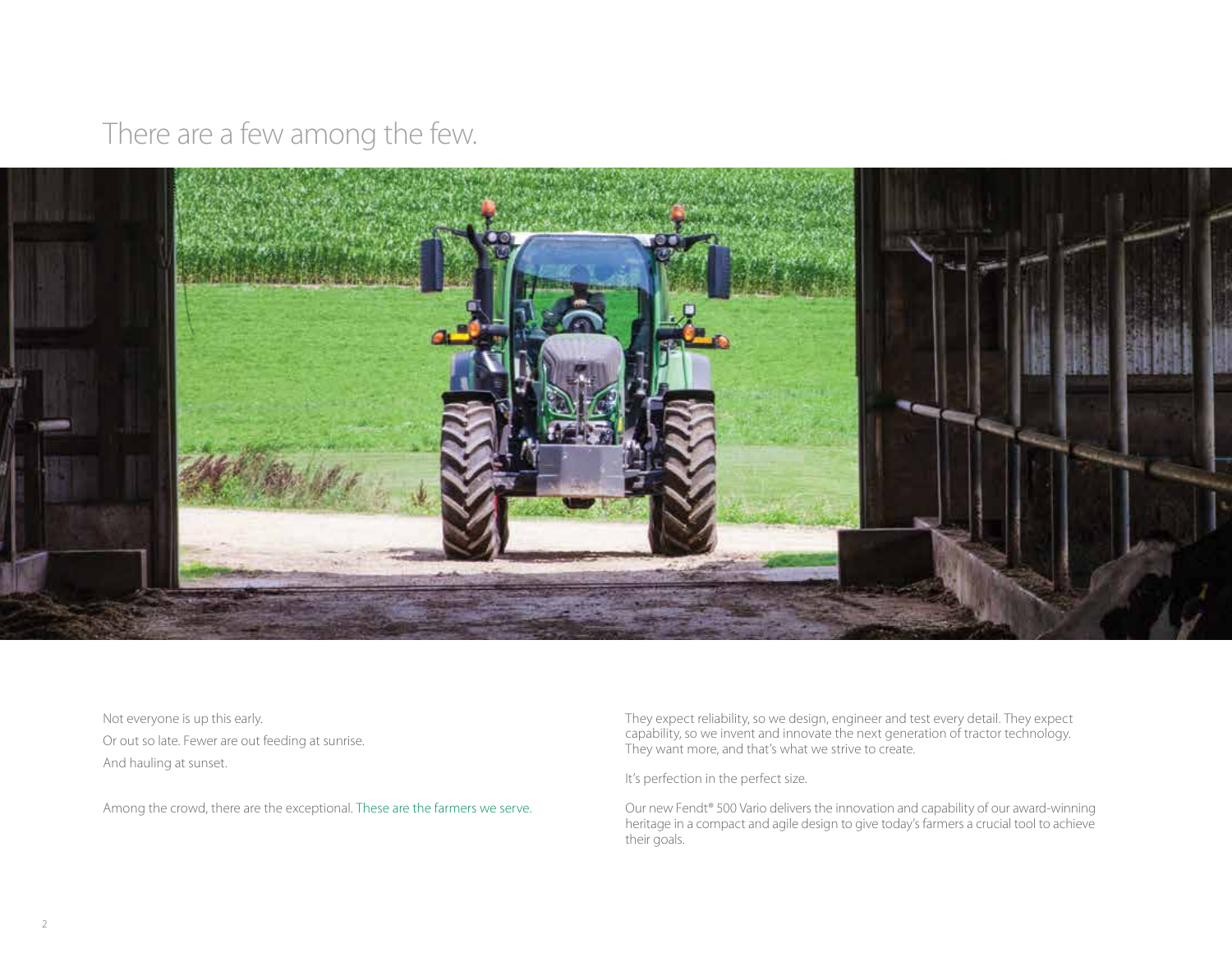There are a few among the few.



Not everyone is up this early. Or out so late. Fewer are out feeding at sunrise. And hauling at sunset.

Among the crowd, there are the exceptional. These are the farmers we serve.

They expect reliability, so we design, engineer and test every detail. They expect capability, so we invent and innovate the next generation of tractor technology. They want more, and that's what we strive to create.

It's perfection in the perfect size.

Our new Fendt<sup>®</sup> 500 Vario delivers the innovation and capability of our award-winning heritage in a compact and agile design to give today's farmers a crucial tool to achieve their goals.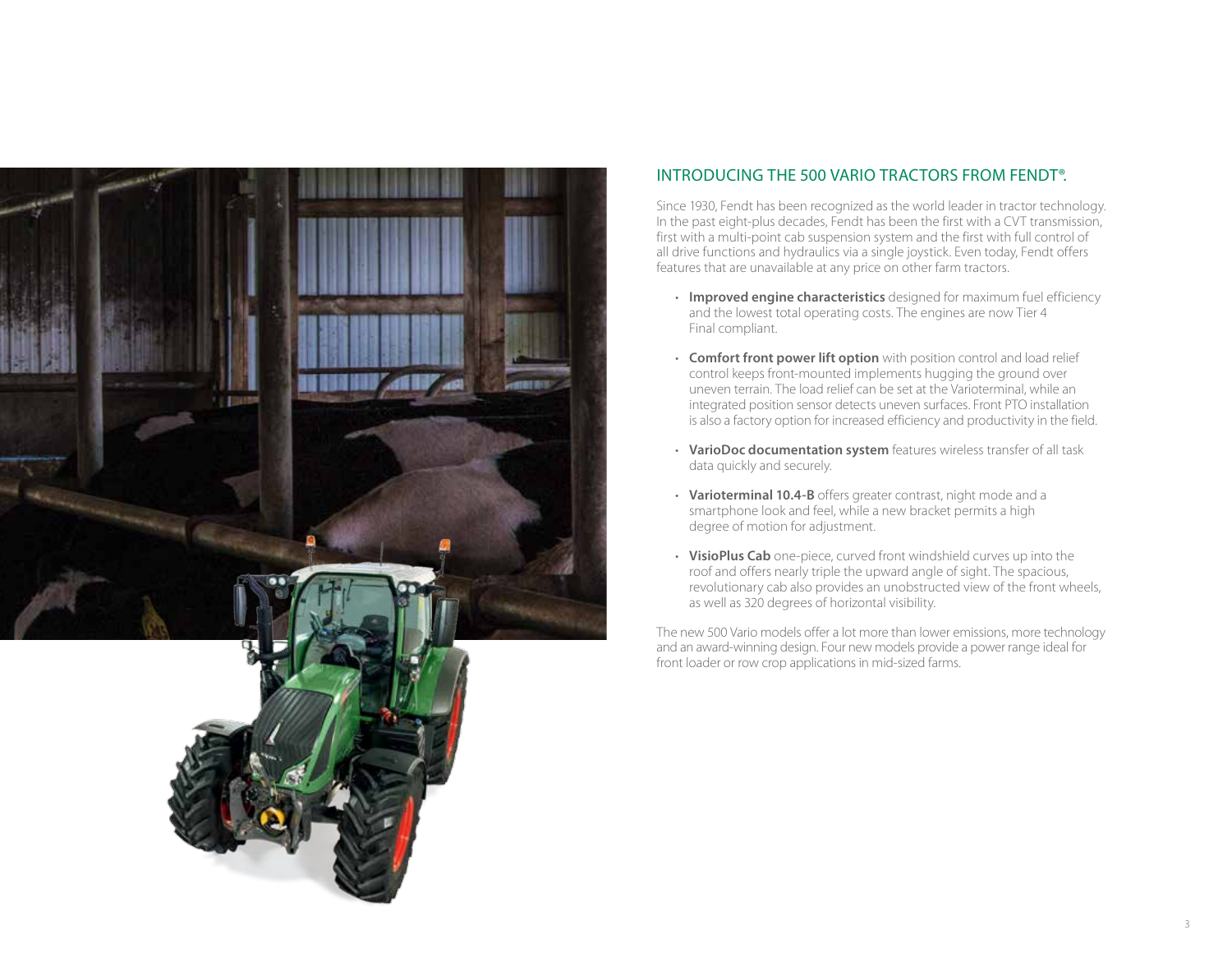

### INTRODUCING THE 500 VARIO TRACTORS FROM FENDT®.

Since 1930, Fendt has been recognized as the world leader in tractor technology. In the past eight-plus decades, Fendt has been the first with a CVT transmission, first with a multi-point cab suspension system and the first with full control of all drive functions and hydraulics via a single joystick. Even today, Fendt offers features that are unavailable at any price on other farm tractors.

- **Improved engine characteristics** designed for maximum fuel efficiency and the lowest total operating costs. The engines are now Tier 4 Final compliant.
- **Comfort front power lift option** with position control and load relief control keeps front-mounted implements hugging the ground over uneven terrain. The load relief can be set at the Varioterminal, while an integrated position sensor detects uneven surfaces. Front PTO installation is also a factory option for increased efficiency and productivity in the field.
- **VarioDoc documentation system** features wireless transfer of all task data quickly and securely.
- **Varioterminal 10.4-B** offers greater contrast, night mode and a smartphone look and feel, while a new bracket permits a high degree of motion for adjustment.
- **VisioPlus Cab** one-piece, curved front windshield curves up into the roof and offers nearly triple the upward angle of sight. The spacious, revolutionary cab also provides an unobstructed view of the front wheels, as well as 320 degrees of horizontal visibility.

The new 500 Vario models offer a lot more than lower emissions, more technology and an award-winning design. Four new models provide a power range ideal for front loader or row crop applications in mid-sized farms.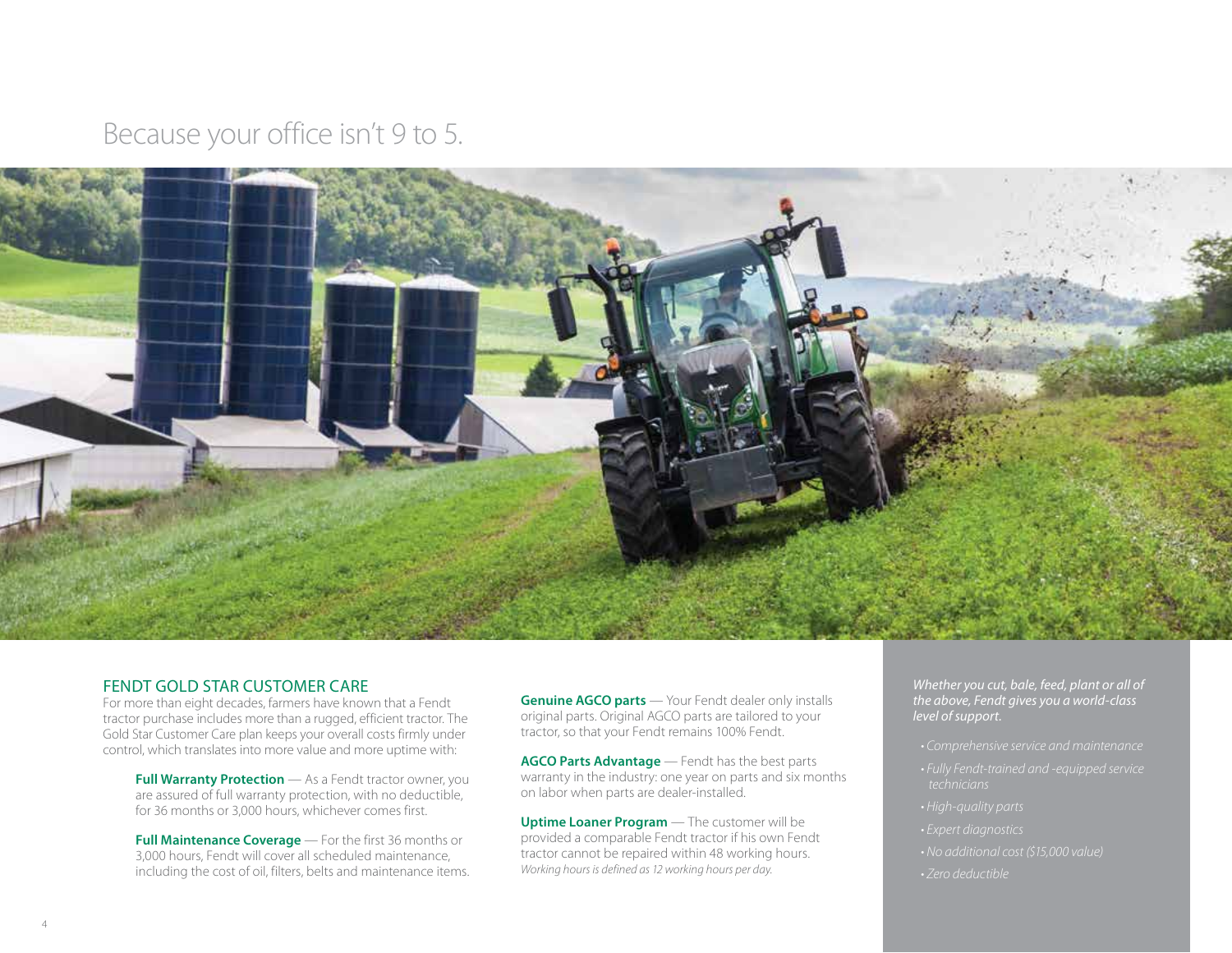Because your office isn't 9 to 5.



#### FENDT GOLD STAR CUSTOMER CARE

For more than eight decades, farmers have known that a Fendt tractor purchase includes more than a rugged, efficient tractor. The Gold Star Customer Care plan keeps your overall costs firmly under control, which translates into more value and more uptime with:

**Full Warranty Protection** — As a Fendt tractor owner, you are assured of full warranty protection, with no deductible, for 36 months or 3,000 hours, whichever comes first.

**Full Maintenance Coverage** — For the first 36 months or 3,000 hours, Fendt will cover all scheduled maintenance, including the cost of oil, filters, belts and maintenance items.

**Genuine AGCO parts** — Your Fendt dealer only installs original parts. Original AGCO parts are tailored to your tractor, so that your Fendt remains 100% Fendt.

**AGCO Parts Advantage** — Fendt has the best parts warranty in the industry: one year on parts and six months on labor when parts are dealer-installed.

**Uptime Loaner Program** — The customer will be provided a comparable Fendt tractor if his own Fendt tractor cannot be repaired within 48 working hours. *Working hours is defined as 12 working hours per day.*

*Whether you cut, bale, feed, plant or all of the above, Fendt gives you a world-class level of support.*

- 
- *technicians*
- 
- 
- 
- *Zero deductible*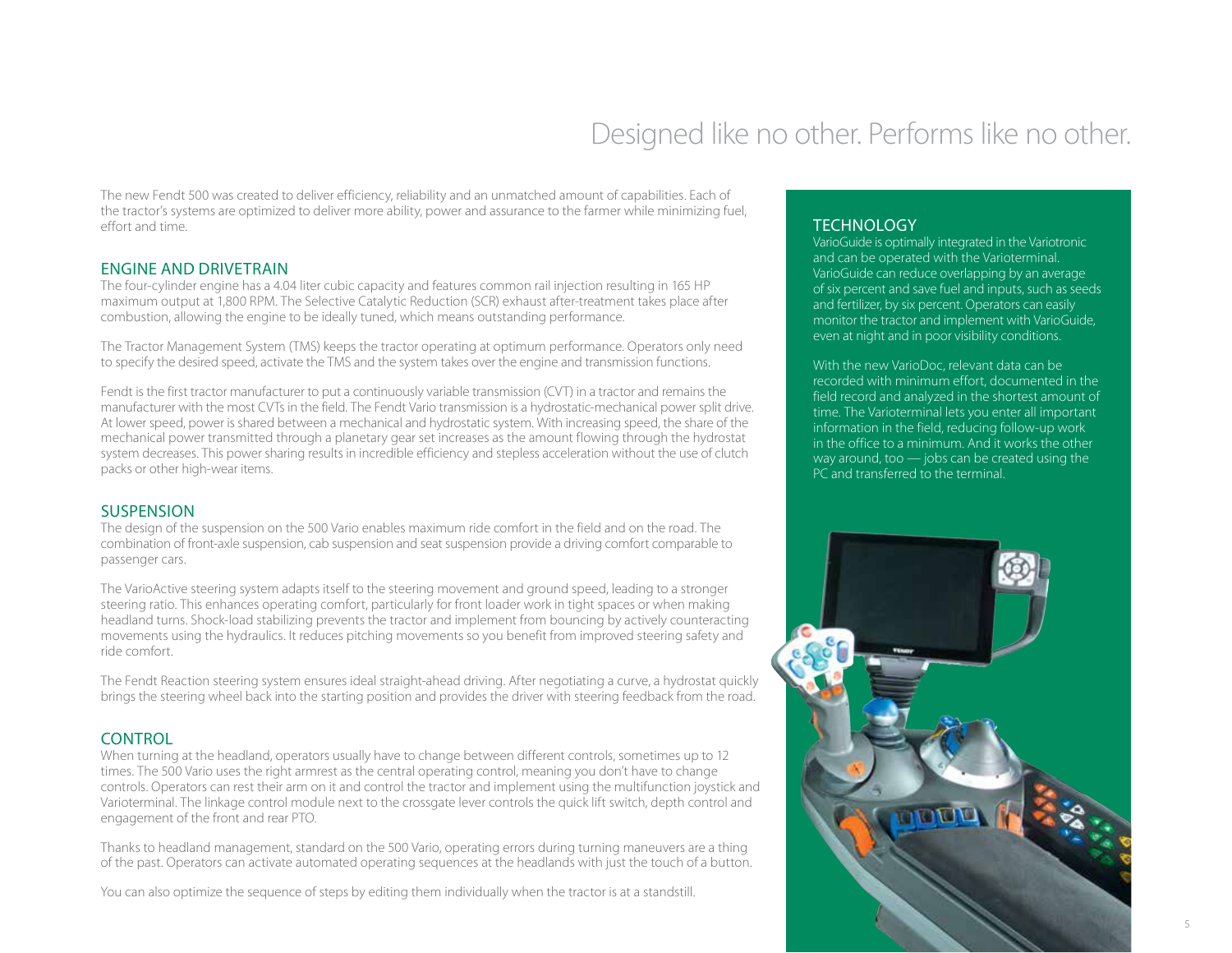## Designed like no other. Performs like no other.

The new Fendt 500 was created to deliver efficiency, reliability and an unmatched amount of capabilities. Each of the tractor's systems are optimized to deliver more ability, power and assurance to the farmer while minimizing fuel, effort and time.

### ENGINE AND DRIVETRAIN

The four-cylinder engine has a 4.04 liter cubic capacity and features common rail injection resulting in 165 HP maximum output at 1,800 RPM. The Selective Catalytic Reduction (SCR) exhaust after-treatment takes place after combustion, allowing the engine to be ideally tuned, which means outstanding performance.

The Tractor Management System (TMS) keeps the tractor operating at optimum performance. Operators only need to specify the desired speed, activate the TMS and the system takes over the engine and transmission functions.

Fendt is the first tractor manufacturer to put a continuously variable transmission (CVT) in a tractor and remains the manufacturer with the most CVTs in the field. The Fendt Vario transmission is a hydrostatic-mechanical power split drive. At lower speed, power is shared between a mechanical and hydrostatic system. With increasing speed, the share of the mechanical power transmitted through a planetary gear set increases as the amount flowing through the hydrostat system decreases. This power sharing results in incredible efficiency and stepless acceleration without the use of clutch packs or other high-wear items.

### SUSPENSION

The design of the suspension on the 500 Vario enables maximum ride comfort in the field and on the road. The combination of front-axle suspension, cab suspension and seat suspension provide a driving comfort comparable to passenger cars.

The VarioActive steering system adapts itself to the steering movement and ground speed, leading to a stronger steering ratio. This enhances operating comfort, particularly for front loader work in tight spaces or when making headland turns. Shock-load stabilizing prevents the tractor and implement from bouncing by actively counteracting movements using the hydraulics. It reduces pitching movements so you benefit from improved steering safety and ride comfort.

The Fendt Reaction steering system ensures ideal straight-ahead driving. After negotiating a curve, a hydrostat quickly brings the steering wheel back into the starting position and provides the driver with steering feedback from the road.

### CONTROL

When turning at the headland, operators usually have to change between different controls, sometimes up to 12 times. The 500 Vario uses the right armrest as the central operating control, meaning you don't have to change controls. Operators can rest their arm on it and control the tractor and implement using the multifunction joystick and Varioterminal. The linkage control module next to the crossgate lever controls the quick lift switch, depth control and engagement of the front and rear PTO.

Thanks to headland management, standard on the 500 Vario, operating errors during turning maneuvers are a thing of the past. Operators can activate automated operating sequences at the headlands with just the touch of a button.

You can also optimize the sequence of steps by editing them individually when the tractor is at a standstill.

### **TECHNOLOGY**

VarioGuide is optimally integrated in the Variotronic and can be operated with the Varioterminal. VarioGuide can reduce overlapping by an average of six percent and save fuel and inputs, such as seeds and fertilizer, by six percent. Operators can easily monitor the tractor and implement with VarioGuide, even at night and in poor visibility conditions.

With the new VarioDoc, relevant data can be recorded with minimum effort, documented in the field record and analyzed in the shortest amount of time. The Varioterminal lets you enter all important information in the field, reducing follow-up work in the office to a minimum. And it works the other way around, too — jobs can be created using the PC and transferred to the terminal.

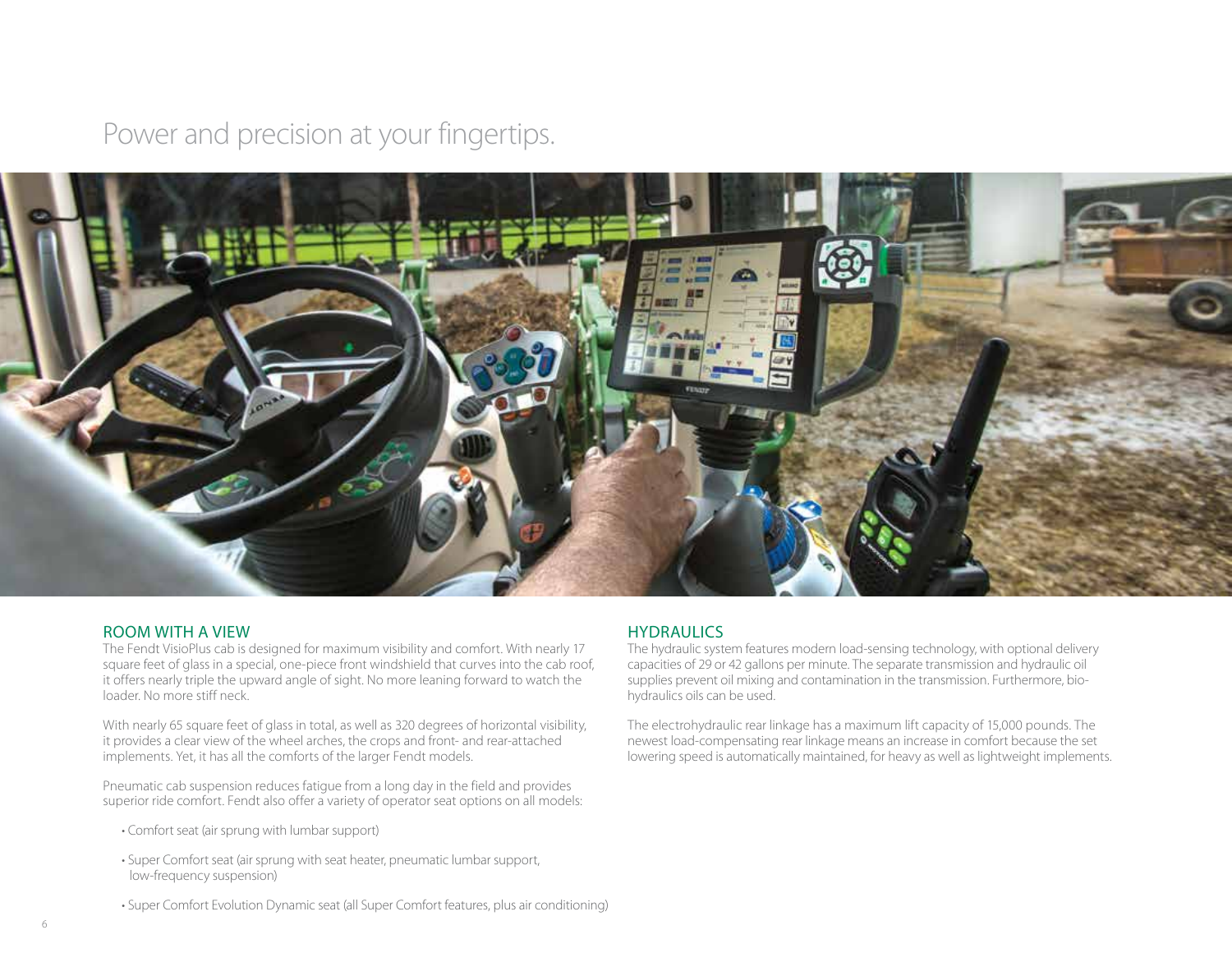## Power and precision at your fingertips.



#### ROOM WITH A VIEW

The Fendt VisioPlus cab is designed for maximum visibility and comfort. With nearly 17 square feet of glass in a special, one-piece front windshield that curves into the cab roof, it offers nearly triple the upward angle of sight. No more leaning forward to watch the loader. No more stiff neck.

With nearly 65 square feet of glass in total, as well as 320 degrees of horizontal visibility, it provides a clear view of the wheel arches, the crops and front- and rear-attached implements. Yet, it has all the comforts of the larger Fendt models.

Pneumatic cab suspension reduces fatigue from a long day in the field and provides superior ride comfort. Fendt also offer a variety of operator seat options on all models:

- Comfort seat (air sprung with lumbar support)
- Super Comfort seat (air sprung with seat heater, pneumatic lumbar support, low-frequency suspension)

#### • Super Comfort Evolution Dynamic seat (all Super Comfort features, plus air conditioning)

#### **HYDRAULICS**

The hydraulic system features modern load-sensing technology, with optional delivery capacities of 29 or 42 gallons per minute. The separate transmission and hydraulic oil supplies prevent oil mixing and contamination in the transmission. Furthermore, biohydraulics oils can be used.

The electrohydraulic rear linkage has a maximum lift capacity of 15,000 pounds. The newest load-compensating rear linkage means an increase in comfort because the set lowering speed is automatically maintained, for heavy as well as lightweight implements.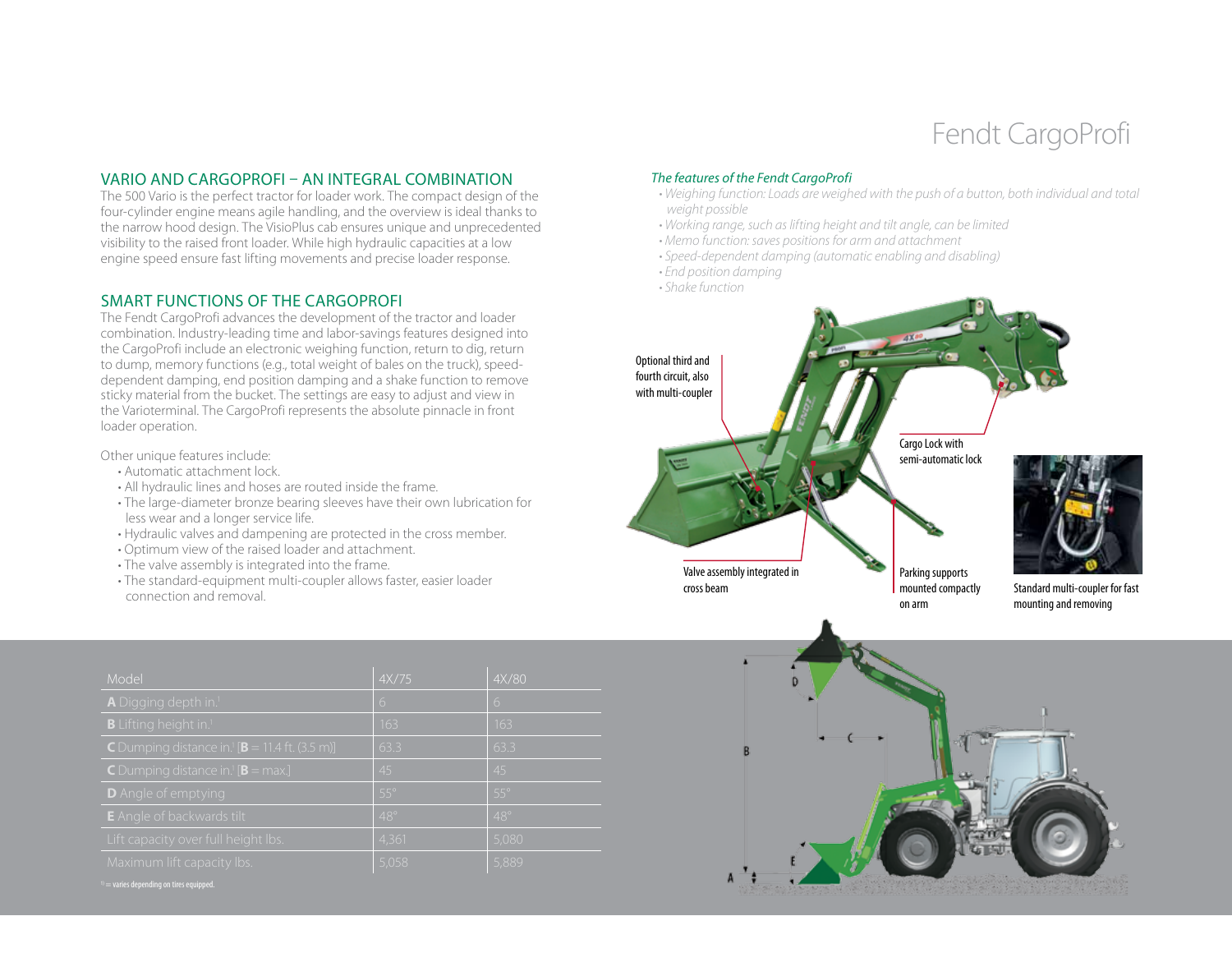# Fendt CargoProfi

#### VARIO AND CARGOPROFI – AN INTEGRAL COMBINATION

The 500 Vario is the perfect tractor for loader work. The compact design of the four-cylinder engine means agile handling, and the overview is ideal thanks to the narrow hood design. The VisioPlus cab ensures unique and unprecedented visibility to the raised front loader. While high hydraulic capacities at a low engine speed ensure fast lifting movements and precise loader response.

#### SMART FUNCTIONS OF THE CARGOPROFI

The Fendt CargoProfi advances the development of the tractor and loader combination. Industry-leading time and labor-savings features designed into the CargoProfi include an electronic weighing function, return to dig, return to dump, memory functions (e.g., total weight of bales on the truck), speeddependent damping, end position damping and a shake function to remove sticky material from the bucket. The settings are easy to adjust and view in the Varioterminal. The CargoProfi represents the absolute pinnacle in front loader operation.

#### Other unique features include:

- Automatic attachment lock.
- All hydraulic lines and hoses are routed inside the frame.
- The large-diameter bronze bearing sleeves have their own lubrication for less wear and a longer service life.
- Hydraulic valves and dampening are protected in the cross member.
- Optimum view of the raised loader and attachment.
- The valve assembly is integrated into the frame.
- The standard-equipment multi-coupler allows faster, easier loader connection and removal.

| Model                                                                     | 4X/75      | 4X/80      |
|---------------------------------------------------------------------------|------------|------------|
| A Digging depth in. <sup>1</sup>                                          | 6          | 6          |
| B Lifting height in. <sup>1</sup>                                         | 163        | 163        |
| <b>C</b> Dumping distance in. <sup>1</sup> [ <b>B</b> = 11.4 ft. (3.5 m)] | 63.3       | 63.3       |
| <b>C</b> Dumping distance in. <sup>1</sup> [ <b>B</b> = max.]             | 45         | 45         |
| <b>D</b> Angle of emptying                                                | $55^\circ$ | $55^\circ$ |
| <b>E</b> Angle of backwards tilt                                          | $48^\circ$ | $48^\circ$ |
| Lift capacity over full height lbs.                                       | 4,361      | 5,080      |
| Maximum lift capacity lbs.                                                | 5,058      | 5,889      |

#### *The features of the Fendt CargoProfi*

- *Weighing function: Loads are weighed with the push of a button, both individual and total weight possible*
- *Working range, such as lifting height and tilt angle, can be limited*
- *Memo function: saves positions for arm and attachment*
- *Speed-dependent damping (automatic enabling and disabling)*
- *End position damping*
- *Shake function*